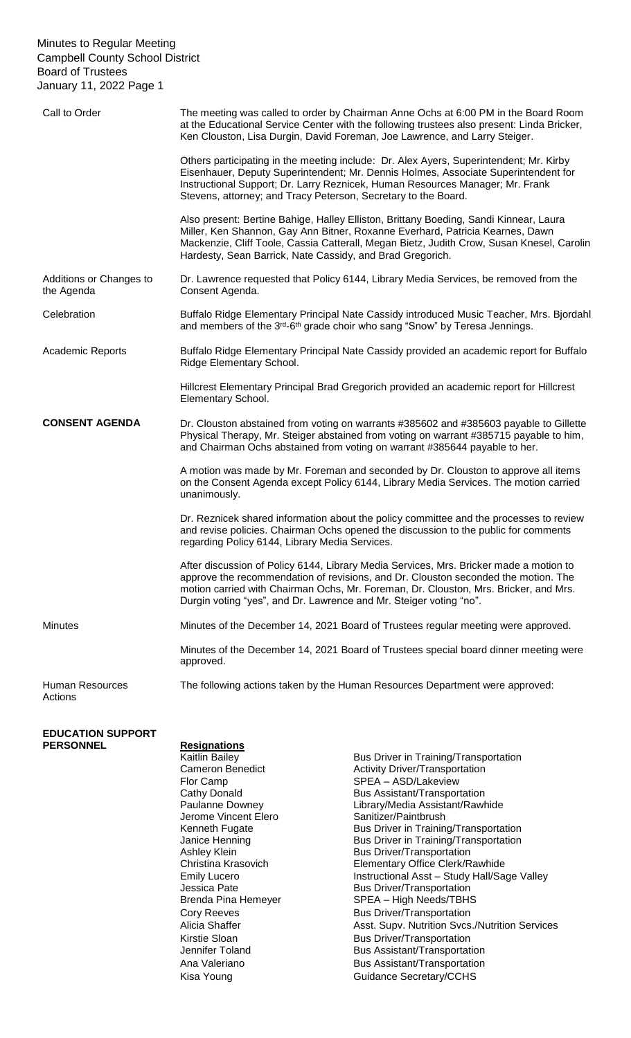### Minutes to Regular Meeting Campbell County School District Board of Trustees January 11, 2022 Page 1

| Call to Order                         | The meeting was called to order by Chairman Anne Ochs at 6:00 PM in the Board Room<br>at the Educational Service Center with the following trustees also present: Linda Bricker,<br>Ken Clouston, Lisa Durgin, David Foreman, Joe Lawrence, and Larry Steiger.                                                                             |
|---------------------------------------|--------------------------------------------------------------------------------------------------------------------------------------------------------------------------------------------------------------------------------------------------------------------------------------------------------------------------------------------|
|                                       | Others participating in the meeting include: Dr. Alex Ayers, Superintendent; Mr. Kirby<br>Eisenhauer, Deputy Superintendent; Mr. Dennis Holmes, Associate Superintendent for<br>Instructional Support; Dr. Larry Reznicek, Human Resources Manager; Mr. Frank<br>Stevens, attorney; and Tracy Peterson, Secretary to the Board.            |
|                                       | Also present: Bertine Bahige, Halley Elliston, Brittany Boeding, Sandi Kinnear, Laura<br>Miller, Ken Shannon, Gay Ann Bitner, Roxanne Everhard, Patricia Kearnes, Dawn<br>Mackenzie, Cliff Toole, Cassia Catterall, Megan Bietz, Judith Crow, Susan Knesel, Carolin<br>Hardesty, Sean Barrick, Nate Cassidy, and Brad Gregorich.           |
| Additions or Changes to<br>the Agenda | Dr. Lawrence requested that Policy 6144, Library Media Services, be removed from the<br>Consent Agenda.                                                                                                                                                                                                                                    |
| Celebration                           | Buffalo Ridge Elementary Principal Nate Cassidy introduced Music Teacher, Mrs. Bjordahl<br>and members of the 3rd-6th grade choir who sang "Snow" by Teresa Jennings.                                                                                                                                                                      |
| <b>Academic Reports</b>               | Buffalo Ridge Elementary Principal Nate Cassidy provided an academic report for Buffalo<br>Ridge Elementary School.                                                                                                                                                                                                                        |
|                                       | Hillcrest Elementary Principal Brad Gregorich provided an academic report for Hillcrest<br>Elementary School.                                                                                                                                                                                                                              |
| <b>CONSENT AGENDA</b>                 | Dr. Clouston abstained from voting on warrants #385602 and #385603 payable to Gillette<br>Physical Therapy, Mr. Steiger abstained from voting on warrant #385715 payable to him,<br>and Chairman Ochs abstained from voting on warrant #385644 payable to her.                                                                             |
|                                       | A motion was made by Mr. Foreman and seconded by Dr. Clouston to approve all items<br>on the Consent Agenda except Policy 6144, Library Media Services. The motion carried<br>unanimously.                                                                                                                                                 |
|                                       | Dr. Reznicek shared information about the policy committee and the processes to review<br>and revise policies. Chairman Ochs opened the discussion to the public for comments<br>regarding Policy 6144, Library Media Services.                                                                                                            |
|                                       | After discussion of Policy 6144, Library Media Services, Mrs. Bricker made a motion to<br>approve the recommendation of revisions, and Dr. Clouston seconded the motion. The<br>motion carried with Chairman Ochs, Mr. Foreman, Dr. Clouston, Mrs. Bricker, and Mrs.<br>Durgin voting "yes", and Dr. Lawrence and Mr. Steiger voting "no". |
| <b>Minutes</b>                        | Minutes of the December 14, 2021 Board of Trustees regular meeting were approved.                                                                                                                                                                                                                                                          |
|                                       | Minutes of the December 14, 2021 Board of Trustees special board dinner meeting were<br>approved.                                                                                                                                                                                                                                          |
| <b>Human Resources</b><br>Actions     | The following actions taken by the Human Resources Department were approved:                                                                                                                                                                                                                                                               |
|                                       |                                                                                                                                                                                                                                                                                                                                            |

## **EDUCATION SUPPORT**

- **Resignations** Flor Camp SPEA – ASD/Lakeview Jerome Vincent Elero<br>Kenneth Fugate
- Kaitlin Bailey<br>
Cameron Benedict<br>
Cameron Benedict<br>
Cameron Benedict<br>
Cameron Benedict<br>
Cameron Benedict<br>
Cameron Benedict<br>
Cameron Benedict<br>
Cameron Benedict<br>
Cameron Benedict<br>
Cameron Benedict<br>
Cameron Benedict<br>
Cameron Cameron Benedict **Activity Driver/Transportation**<br>Flor Camp **Activity Driver/Transportation** Bus Assistant/Transportation Paulanne Downey<br>
Jerome Vincent Elero<br>
Sanitizer/Paintbrush<br>
Come Vincent Elero<br>
Come Sanitizer/Paintbrush<br>
Come Vincent Elero Bus Driver in Training/Transportation Janice Henning **Bus Driver in Training/Transportation**<br>Ashley Klein **Bus Driver/Transportation** Bus Driver/Transportation Christina Krasovich Elementary Office Clerk/Rawhide<br>
Emily Lucero **Emily Lucero** Instructional Asst – Study Hall/Sa Emily Lucero **Instructional Asst – Study Hall/Sage Valley**<br>
Jessica Pate **Instructional Asst – Study Hall/Sage Valley**<br>
Bus Driver/Transportation Bus Driver/Transportation Brenda Pina Hemeyer SPEA – High Needs/TBHS Cory Reeves **Bus Driver/Transportation** Alicia Shaffer **Asst. Supv. Nutrition Svcs./Nutrition Services** Kirstie Sloan Bus Driver/Transportation Jennifer Toland Bus Assistant/Transportation Ana Valeriano **Bus Assistant/Transportation** Kisa Young **Guidance Secretary/CCHS**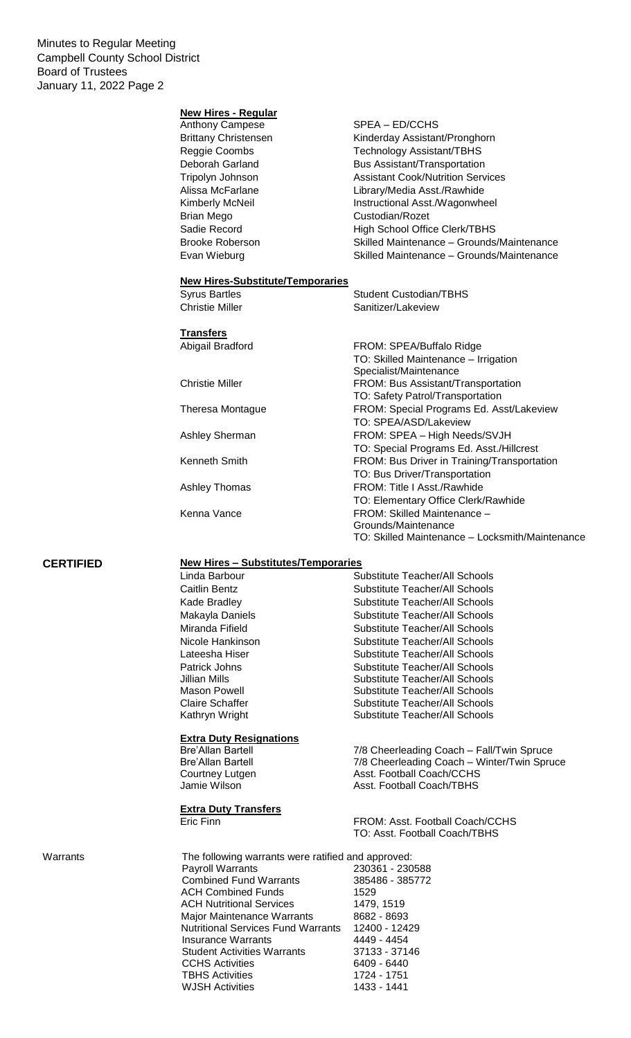Minutes to Regular Meeting Campbell County School District Board of Trustees January 11, 2022 Page 2

#### **New Hires - Regular**

| Anthony Campese             | SPEA - ED/CCHS                            |
|-----------------------------|-------------------------------------------|
| <b>Brittany Christensen</b> | Kinderday Assistant/Pronghorn             |
| Reggie Coombs               | <b>Technology Assistant/TBHS</b>          |
| Deborah Garland             | <b>Bus Assistant/Transportation</b>       |
| Tripolyn Johnson            | <b>Assistant Cook/Nutrition Services</b>  |
| Alissa McFarlane            | Library/Media Asst./Rawhide               |
| Kimberly McNeil             | Instructional Asst./Wagonwheel            |
| Brian Mego                  | Custodian/Rozet                           |
| Sadie Record                | <b>High School Office Clerk/TBHS</b>      |
| Brooke Roberson             | Skilled Maintenance - Grounds/Maintenance |
| Evan Wieburg                | Skilled Maintenance - Grounds/Maintenance |
|                             |                                           |

Student Custodian/TBHS

# **New Hires-Substitute/Temporaries**

| Christie Miller  | Sanitizer/Lakeview                              |  |
|------------------|-------------------------------------------------|--|
| Transfers        |                                                 |  |
| Abigail Bradford | FROM: SPEA/Buffalo Ridge                        |  |
|                  | TO: Skilled Maintenance - Irrigation            |  |
|                  | Specialist/Maintenance                          |  |
| Christie Miller  | FROM: Bus Assistant/Transportation              |  |
|                  | TO: Safety Patrol/Transportation                |  |
| Theresa Montague | FROM: Special Programs Ed. Asst/Lakeview        |  |
|                  | TO: SPEA/ASD/Lakeview                           |  |
| Ashley Sherman   | FROM: SPEA - High Needs/SVJH                    |  |
|                  | TO: Special Programs Ed. Asst./Hillcrest        |  |
| Kenneth Smith    | FROM: Bus Driver in Training/Transportation     |  |
|                  | TO: Bus Driver/Transportation                   |  |
| Ashley Thomas    | FROM: Title   Asst./Rawhide                     |  |
|                  | TO: Elementary Office Clerk/Rawhide             |  |
| Kenna Vance      | FROM: Skilled Maintenance -                     |  |
|                  | Grounds/Maintenance                             |  |
|                  | TO: Skilled Maintenance - Locksmith/Maintenance |  |

### **CERTIFIED New Hires – Substitutes/Temporaries**

|          | Linda Barbour<br>Caitlin Bentz<br>Kade Bradley<br>Makayla Daniels<br>Miranda Fifield<br>Nicole Hankinson<br>Lateesha Hiser<br>Patrick Johns<br>Jillian Mills<br>Mason Powell<br><b>Claire Schaffer</b>                                                                                                                                                                                              | Substitute Teacher/All Schools<br>Substitute Teacher/All Schools<br>Substitute Teacher/All Schools<br>Substitute Teacher/All Schools<br>Substitute Teacher/All Schools<br>Substitute Teacher/All Schools<br>Substitute Teacher/All Schools<br>Substitute Teacher/All Schools<br>Substitute Teacher/All Schools<br>Substitute Teacher/All Schools<br>Substitute Teacher/All Schools |
|----------|-----------------------------------------------------------------------------------------------------------------------------------------------------------------------------------------------------------------------------------------------------------------------------------------------------------------------------------------------------------------------------------------------------|------------------------------------------------------------------------------------------------------------------------------------------------------------------------------------------------------------------------------------------------------------------------------------------------------------------------------------------------------------------------------------|
|          | Kathryn Wright<br><b>Extra Duty Resignations</b><br><b>Bre'Allan Bartell</b><br><b>Bre'Allan Bartell</b><br>Courtney Lutgen<br>Jamie Wilson<br><b>Extra Duty Transfers</b><br>Eric Finn                                                                                                                                                                                                             | <b>Substitute Teacher/All Schools</b><br>7/8 Cheerleading Coach - Fall/Twin Spruce<br>7/8 Cheerleading Coach - Winter/Twin Spruce<br>Asst. Football Coach/CCHS<br>Asst. Football Coach/TBHS<br>FROM: Asst. Football Coach/CCHS<br>TO: Asst. Football Coach/TBHS                                                                                                                    |
| Warrants | The following warrants were ratified and approved:<br>Payroll Warrants<br><b>Combined Fund Warrants</b><br><b>ACH Combined Funds</b><br><b>ACH Nutritional Services</b><br>Major Maintenance Warrants<br><b>Nutritional Services Fund Warrants</b><br><b>Insurance Warrants</b><br><b>Student Activities Warrants</b><br><b>CCHS Activities</b><br><b>TBHS Activities</b><br><b>WJSH Activities</b> | 230361 - 230588<br>385486 - 385772<br>1529<br>1479, 1519<br>8682 - 8693<br>12400 - 12429<br>4449 - 4454<br>37133 - 37146<br>6409 - 6440<br>1724 - 1751<br>1433 - 1441                                                                                                                                                                                                              |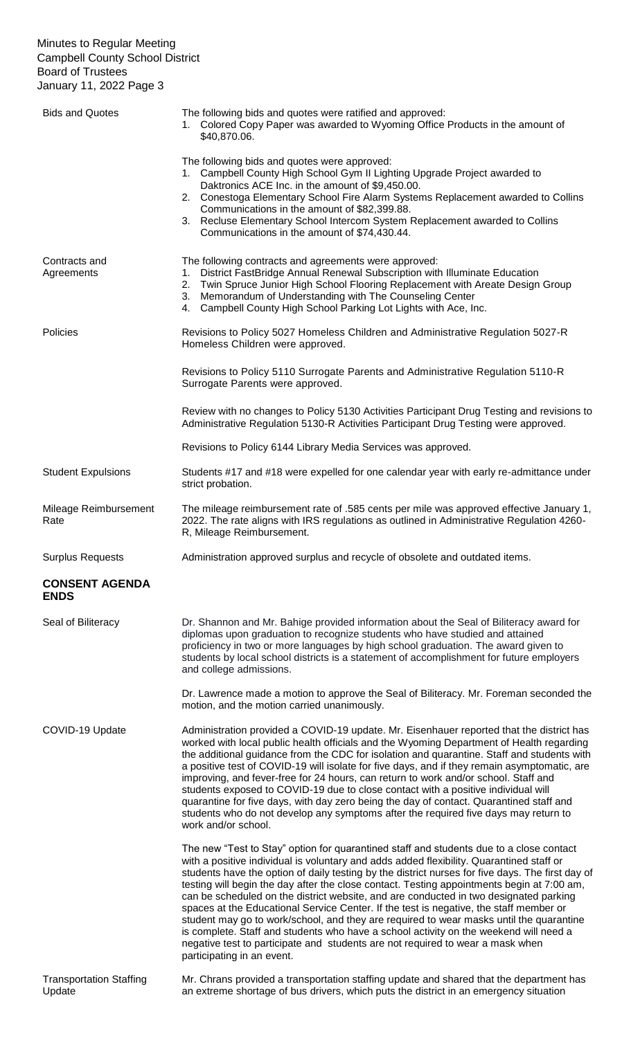### Minutes to Regular Meeting Campbell County School District Board of Trustees January 11, 2022 Page 3

| <b>Bids and Quotes</b>               | The following bids and quotes were ratified and approved:<br>1. Colored Copy Paper was awarded to Wyoming Office Products in the amount of<br>\$40,870.06.                                                                                                                                                                                                                                                                                                                                                                                                                                                                                                                                                                                                                                                                                                                   |
|--------------------------------------|------------------------------------------------------------------------------------------------------------------------------------------------------------------------------------------------------------------------------------------------------------------------------------------------------------------------------------------------------------------------------------------------------------------------------------------------------------------------------------------------------------------------------------------------------------------------------------------------------------------------------------------------------------------------------------------------------------------------------------------------------------------------------------------------------------------------------------------------------------------------------|
|                                      | The following bids and quotes were approved:<br>1. Campbell County High School Gym II Lighting Upgrade Project awarded to<br>Daktronics ACE Inc. in the amount of \$9,450.00.<br>2. Conestoga Elementary School Fire Alarm Systems Replacement awarded to Collins<br>Communications in the amount of \$82,399.88.<br>3. Recluse Elementary School Intercom System Replacement awarded to Collins<br>Communications in the amount of \$74,430.44.                                                                                                                                                                                                                                                                                                                                                                                                                             |
| Contracts and<br>Agreements          | The following contracts and agreements were approved:<br>1. District FastBridge Annual Renewal Subscription with Illuminate Education<br>2. Twin Spruce Junior High School Flooring Replacement with Areate Design Group<br>3. Memorandum of Understanding with The Counseling Center<br>4. Campbell County High School Parking Lot Lights with Ace, Inc.                                                                                                                                                                                                                                                                                                                                                                                                                                                                                                                    |
| <b>Policies</b>                      | Revisions to Policy 5027 Homeless Children and Administrative Regulation 5027-R<br>Homeless Children were approved.                                                                                                                                                                                                                                                                                                                                                                                                                                                                                                                                                                                                                                                                                                                                                          |
|                                      | Revisions to Policy 5110 Surrogate Parents and Administrative Regulation 5110-R<br>Surrogate Parents were approved.                                                                                                                                                                                                                                                                                                                                                                                                                                                                                                                                                                                                                                                                                                                                                          |
|                                      | Review with no changes to Policy 5130 Activities Participant Drug Testing and revisions to<br>Administrative Regulation 5130-R Activities Participant Drug Testing were approved.                                                                                                                                                                                                                                                                                                                                                                                                                                                                                                                                                                                                                                                                                            |
|                                      | Revisions to Policy 6144 Library Media Services was approved.                                                                                                                                                                                                                                                                                                                                                                                                                                                                                                                                                                                                                                                                                                                                                                                                                |
| <b>Student Expulsions</b>            | Students #17 and #18 were expelled for one calendar year with early re-admittance under<br>strict probation.                                                                                                                                                                                                                                                                                                                                                                                                                                                                                                                                                                                                                                                                                                                                                                 |
| Mileage Reimbursement<br>Rate        | The mileage reimbursement rate of .585 cents per mile was approved effective January 1,<br>2022. The rate aligns with IRS regulations as outlined in Administrative Regulation 4260-<br>R, Mileage Reimbursement.                                                                                                                                                                                                                                                                                                                                                                                                                                                                                                                                                                                                                                                            |
| <b>Surplus Requests</b>              | Administration approved surplus and recycle of obsolete and outdated items.                                                                                                                                                                                                                                                                                                                                                                                                                                                                                                                                                                                                                                                                                                                                                                                                  |
| <b>CONSENT AGENDA</b><br><b>ENDS</b> |                                                                                                                                                                                                                                                                                                                                                                                                                                                                                                                                                                                                                                                                                                                                                                                                                                                                              |
| Seal of Biliteracy                   | Dr. Shannon and Mr. Bahige provided information about the Seal of Biliteracy award for<br>diplomas upon graduation to recognize students who have studied and attained<br>proficiency in two or more languages by high school graduation. The award given to<br>students by local school districts is a statement of accomplishment for future employers                                                                                                                                                                                                                                                                                                                                                                                                                                                                                                                     |
|                                      | and college admissions.                                                                                                                                                                                                                                                                                                                                                                                                                                                                                                                                                                                                                                                                                                                                                                                                                                                      |
|                                      | Dr. Lawrence made a motion to approve the Seal of Biliteracy. Mr. Foreman seconded the<br>motion, and the motion carried unanimously.                                                                                                                                                                                                                                                                                                                                                                                                                                                                                                                                                                                                                                                                                                                                        |
| COVID-19 Update                      | Administration provided a COVID-19 update. Mr. Eisenhauer reported that the district has<br>worked with local public health officials and the Wyoming Department of Health regarding<br>the additional guidance from the CDC for isolation and quarantine. Staff and students with<br>a positive test of COVID-19 will isolate for five days, and if they remain asymptomatic, are<br>improving, and fever-free for 24 hours, can return to work and/or school. Staff and<br>students exposed to COVID-19 due to close contact with a positive individual will<br>quarantine for five days, with day zero being the day of contact. Quarantined staff and<br>students who do not develop any symptoms after the required five days may return to<br>work and/or school.                                                                                                      |
|                                      | The new "Test to Stay" option for quarantined staff and students due to a close contact<br>with a positive individual is voluntary and adds added flexibility. Quarantined staff or<br>students have the option of daily testing by the district nurses for five days. The first day of<br>testing will begin the day after the close contact. Testing appointments begin at 7:00 am,<br>can be scheduled on the district website, and are conducted in two designated parking<br>spaces at the Educational Service Center. If the test is negative, the staff member or<br>student may go to work/school, and they are required to wear masks until the quarantine<br>is complete. Staff and students who have a school activity on the weekend will need a<br>negative test to participate and students are not required to wear a mask when<br>participating in an event. |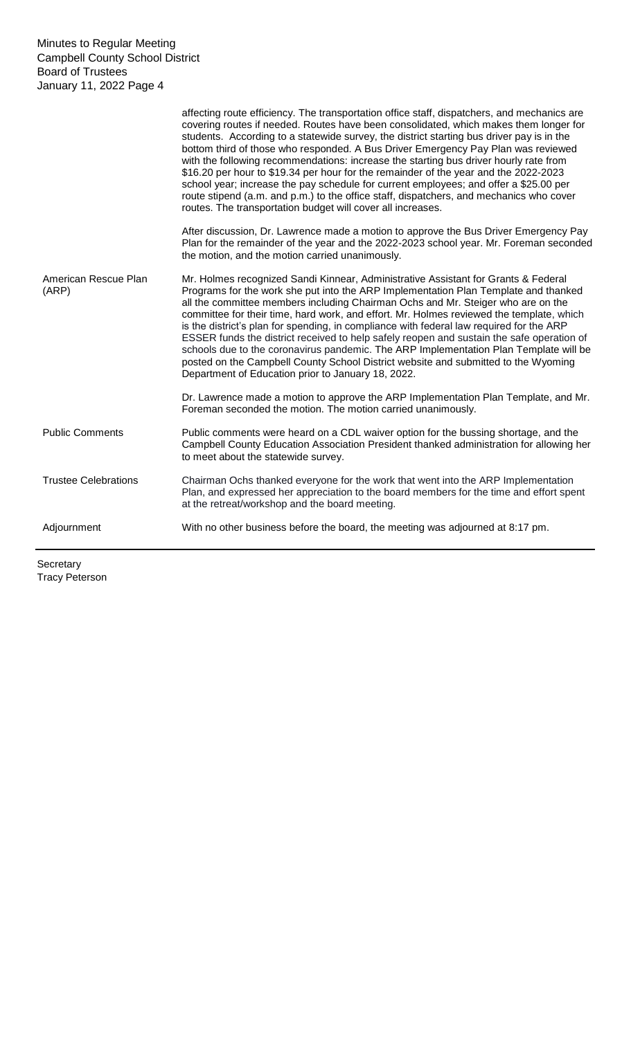|                               | affecting route efficiency. The transportation office staff, dispatchers, and mechanics are<br>covering routes if needed. Routes have been consolidated, which makes them longer for<br>students. According to a statewide survey, the district starting bus driver pay is in the<br>bottom third of those who responded. A Bus Driver Emergency Pay Plan was reviewed<br>with the following recommendations: increase the starting bus driver hourly rate from<br>\$16.20 per hour to \$19.34 per hour for the remainder of the year and the 2022-2023<br>school year; increase the pay schedule for current employees; and offer a \$25.00 per<br>route stipend (a.m. and p.m.) to the office staff, dispatchers, and mechanics who cover<br>routes. The transportation budget will cover all increases. |
|-------------------------------|------------------------------------------------------------------------------------------------------------------------------------------------------------------------------------------------------------------------------------------------------------------------------------------------------------------------------------------------------------------------------------------------------------------------------------------------------------------------------------------------------------------------------------------------------------------------------------------------------------------------------------------------------------------------------------------------------------------------------------------------------------------------------------------------------------|
|                               | After discussion, Dr. Lawrence made a motion to approve the Bus Driver Emergency Pay<br>Plan for the remainder of the year and the 2022-2023 school year. Mr. Foreman seconded<br>the motion, and the motion carried unanimously.                                                                                                                                                                                                                                                                                                                                                                                                                                                                                                                                                                          |
| American Rescue Plan<br>(ARP) | Mr. Holmes recognized Sandi Kinnear, Administrative Assistant for Grants & Federal<br>Programs for the work she put into the ARP Implementation Plan Template and thanked<br>all the committee members including Chairman Ochs and Mr. Steiger who are on the<br>committee for their time, hard work, and effort. Mr. Holmes reviewed the template, which<br>is the district's plan for spending, in compliance with federal law required for the ARP<br>ESSER funds the district received to help safely reopen and sustain the safe operation of<br>schools due to the coronavirus pandemic. The ARP Implementation Plan Template will be<br>posted on the Campbell County School District website and submitted to the Wyoming<br>Department of Education prior to January 18, 2022.                    |
|                               | Dr. Lawrence made a motion to approve the ARP Implementation Plan Template, and Mr.<br>Foreman seconded the motion. The motion carried unanimously.                                                                                                                                                                                                                                                                                                                                                                                                                                                                                                                                                                                                                                                        |
| <b>Public Comments</b>        | Public comments were heard on a CDL waiver option for the bussing shortage, and the<br>Campbell County Education Association President thanked administration for allowing her<br>to meet about the statewide survey.                                                                                                                                                                                                                                                                                                                                                                                                                                                                                                                                                                                      |
| <b>Trustee Celebrations</b>   | Chairman Ochs thanked everyone for the work that went into the ARP Implementation<br>Plan, and expressed her appreciation to the board members for the time and effort spent<br>at the retreat/workshop and the board meeting.                                                                                                                                                                                                                                                                                                                                                                                                                                                                                                                                                                             |
| Adjournment                   | With no other business before the board, the meeting was adjourned at 8:17 pm.                                                                                                                                                                                                                                                                                                                                                                                                                                                                                                                                                                                                                                                                                                                             |

**Secretary** Tracy Peterson